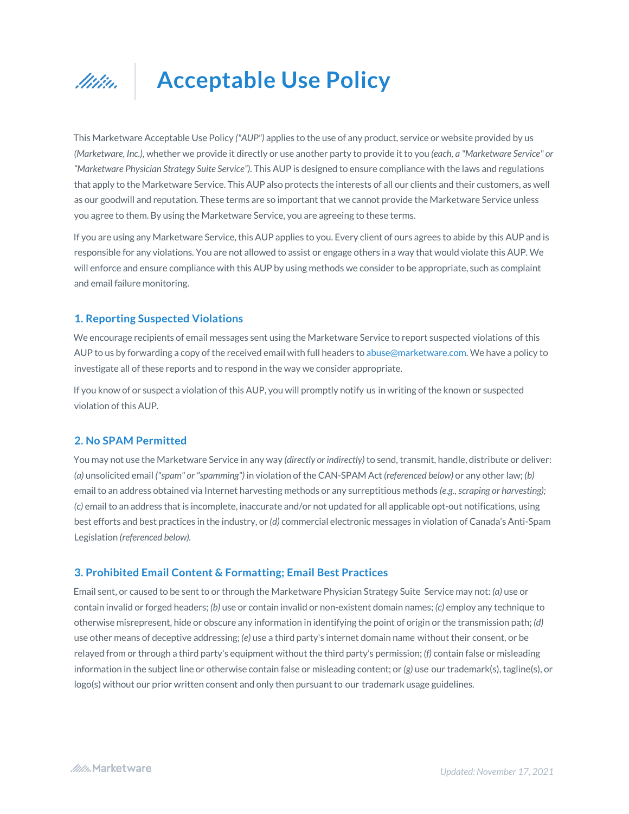

# **Acceptable Use Policy**

This Marketware Acceptable Use Policy *("AUP")* applies to the use of any product, service or website provided by us *(Marketware, Inc.),* whether we provide it directly or use another party to provide it to you *(each, a "Marketware Service" or "Marketware Physician Strategy Suite Service").* This AUP is designed to ensure compliance with the laws and regulations that apply to the Marketware Service. This AUP also protects the interests of all our clients and their customers, as well as our goodwill and reputation. These terms are so important that we cannot provide the Marketware Service unless you agree to them. By using the Marketware Service, you are agreeing to these terms.

If you are using any Marketware Service, this AUP applies to you. Every client of ours agrees to abide by this AUP and is responsible for any violations. You are not allowed to assist or engage others in a way that would violate this AUP. We will enforce and ensure compliance with this AUP by using methods we consider to be appropriate, such as complaint and email failure monitoring.

## **1. Reporting Suspected Violations**

We encourage recipients of email messages sent using the Marketware Service to report suspected violations of this AUP to us by forwarding a copy of the received email with full headers to abuse@marketware.com. We have a policy to investigate all of these reports and to respond in the way we consider appropriate.

If you know of or suspect a violation of this AUP, you will promptly notify us in writing of the known or suspected violation of this AUP.

## **2. No SPAM Permitted**

You may not use the Marketware Service in any way *(directly or indirectly)*to send, transmit, handle, distribute or deliver: *(a)* unsolicited email *("spam" or "spamming")* in violation of the CAN-SPAM Act *(referenced below)* or any other law; *(b)* email to an address obtained via Internet harvesting methods or any surreptitious methods *(e.g., scraping or harvesting); (c)* email to an address that is incomplete, inaccurate and/or not updated for all applicable opt-out notifications, using best efforts and best practices in the industry, or *(d)* commercial electronic messages in violation of Canada's Anti-Spam Legislation *(referenced below).*

#### **3. Prohibited Email Content & Formatting; Email Best Practices**

Email sent, or caused to be sent to or through the Marketware Physician Strategy Suite Service may not: *(a)* use or contain invalid or forged headers; *(b)* use or contain invalid or non-existent domain names; *(c)* employ any technique to otherwise misrepresent, hide or obscure any information in identifying the point of origin or the transmission path; *(d)* use other means of deceptive addressing; *(e)* use a third party's internet domain name without their consent, or be relayed from or through a third party's equipment without the third party's permission; *(f)* contain false or misleading information in the subject line or otherwise contain false or misleading content; or *(g)* use our trademark(s), tagline(s), or logo(s) without our prior written consent and only then pursuant to our trademark usage guidelines.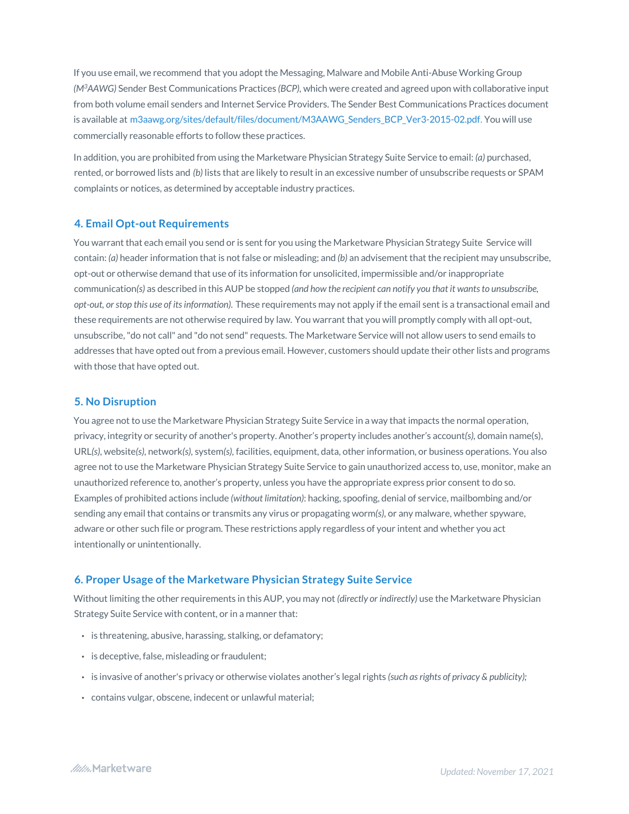If you use email, we recommend that you adopt the Messaging, Malware and Mobile Anti-Abuse Working Group *(M3AAWG)* Sender Best Communications Practices *(BCP),* which were created and agreed upon with collaborative input from both volume email senders and Internet Service Providers. The Sender Best Communications Practices document is available at m3aawg.org/sites/default/files/document/M3AAWG\_Senders\_BCP\_Ver3-2015-02.pdf. You will use commercially reasonable efforts to follow these practices.

In addition, you are prohibited from using the Marketware Physician Strategy Suite Service to email: *(a)* purchased, rented, or borrowed lists and *(b)* lists that are likely to result in an excessive number of unsubscribe requests or SPAM complaints or notices, as determined by acceptable industry practices.

# **4. Email Opt-out Requirements**

You warrant that each email you send or is sent for you using the Marketware Physician Strategy Suite Service will contain: *(a)* header information that is not false or misleading; and *(b)* an advisement that the recipient may unsubscribe, opt-out or otherwise demand that use of its information for unsolicited, impermissible and/or inappropriate communication*(s)* as described in this AUP be stopped *(and how the recipient can notify you that it wants to unsubscribe, opt-out, or stop this use of its information).* These requirements may not apply if the email sent is a transactional email and these requirements are not otherwise required by law. You warrant that you will promptly comply with all opt-out, unsubscribe, "do not call" and "do not send" requests. The Marketware Service will not allow users to send emails to addresses that have opted out from a previous email. However, customers should update their other lists and programs with those that have opted out.

# **5. No Disruption**

You agree not to use the Marketware Physician Strategy Suite Service in a way that impacts the normal operation, privacy, integrity or security of another's property. Another's property includes another's account*(s),* domain name(s), URL*(s),* website*(s),* network*(s),* system*(s),* facilities, equipment, data, other information, or business operations. You also agree not to use the Marketware Physician Strategy Suite Service to gain unauthorized access to, use, monitor, make an unauthorized reference to, another's property, unless you have the appropriate express prior consent to do so. Examples of prohibited actions include *(without limitation)*: hacking, spoofing, denial of service, mailbombing and/or sending any email that contains or transmits any virus or propagating worm*(s),* or any malware, whether spyware, adware or other such file or program. These restrictions apply regardless of your intent and whether you act intentionally or unintentionally.

# **6. Proper Usage of the Marketware Physician Strategy Suite Service**

Without limiting the other requirements in this AUP, you may not *(directly or indirectly)* use the Marketware Physician Strategy Suite Service with content, or in a manner that:

- is threatening, abusive, harassing, stalking, or defamatory;
- is deceptive, false, misleading or fraudulent;
- is invasive of another's privacy or otherwise violates another's legal rights *(such as rights of privacy & publicity);*
- contains vulgar, obscene, indecent or unlawful material;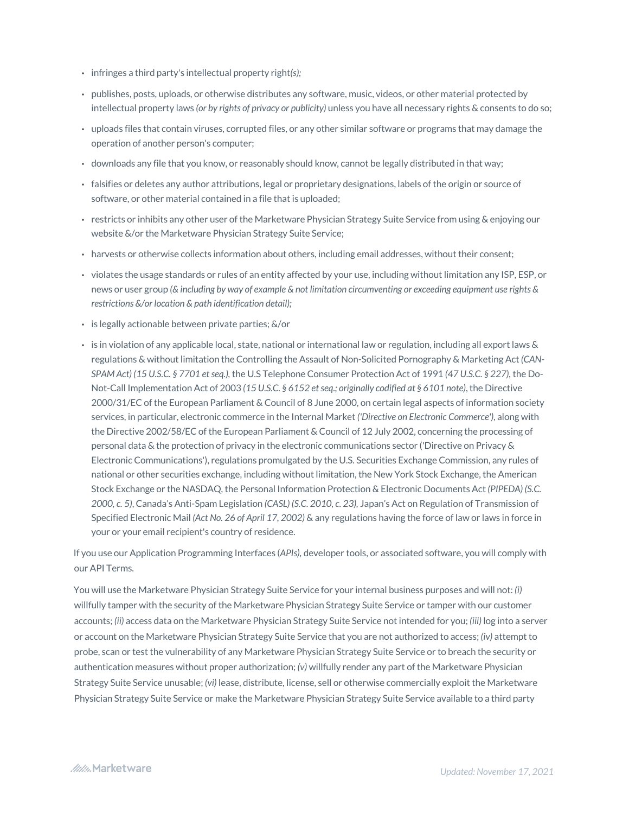- infringes a third party's intellectual property right*(s);*
- publishes, posts, uploads, or otherwise distributes any software, music, videos, or other material protected by intellectual property laws *(or by rights of privacy or publicity)* unless you have all necessary rights & consents to do so;
- uploads files that contain viruses, corrupted files, or any other similar software or programs that may damage the operation of another person's computer;
- downloads any file that you know, or reasonably should know, cannot be legally distributed in that way;
- falsifies or deletes any author attributions, legal or proprietary designations, labels of the origin or source of software, or other material contained in a file that is uploaded;
- restricts or inhibits any other user of the Marketware Physician Strategy Suite Service from using & enjoying our website &/or the Marketware Physician Strategy Suite Service;
- harvests or otherwise collects information about others, including email addresses, without their consent;
- violates the usage standards or rules of an entity affected by your use, including without limitation any ISP, ESP, or news or user group *(& including by way of example & not limitation circumventing or exceeding equipment use rights & restrictions &/or location & path identification detail);*
- is legally actionable between private parties; &/or
- is in violation of any applicable local, state, national or international law or regulation, including all export laws & regulations & without limitation the Controlling the Assault of Non-Solicited Pornography & Marketing Act *(CAN-SPAM Act) (15 U.S.C. § 7701 et seq.),* the U.S Telephone Consumer Protection Act of 1991 *(47 U.S.C. § 227),* the Do-Not-Call Implementation Act of 2003 *(15 U.S.C. § 6152 et seq.; originally codified at § 6101 note)*, the Directive 2000/31/EC of the European Parliament & Council of 8 June 2000, on certain legal aspects of information society services, in particular, electronic commerce in the Internal Market *('Directive on Electronic Commerce')*, along with the Directive 2002/58/EC of the European Parliament & Council of 12 July 2002, concerning the processing of personal data & the protection of privacy in the electronic communications sector ('Directive on Privacy & Electronic Communications'), regulations promulgated by the U.S. Securities Exchange Commission, any rules of national or other securities exchange, including without limitation, the New York Stock Exchange, the American Stock Exchange or the NASDAQ, the Personal Information Protection & Electronic Documents Act *(PIPEDA) (S.C. 2000, c. 5)*, Canada's Anti-Spam Legislation *(CASL) (S.C. 2010, c. 23),* Japan's Act on Regulation of Transmission of Specified Electronic Mail *(Act No. 26 of April 17, 2002)* & any regulations having the force of law or laws in force in your or your email recipient's country of residence.

If you use our Application Programming Interfaces (*APIs),* developer tools, or associated software, you will comply with our API Terms.

You will use the Marketware Physician Strategy Suite Service for your internal business purposes and will not: *(i)* willfully tamper with the security of the Marketware Physician Strategy Suite Service or tamper with our customer accounts; *(ii)* access data on the Marketware Physician Strategy Suite Service not intended for you; *(iii)* log into a server or account on the Marketware Physician Strategy Suite Service that you are not authorized to access; *(iv)* attempt to probe, scan or test the vulnerability of any Marketware Physician Strategy Suite Service or to breach the security or authentication measures without proper authorization; *(v)* willfully render any part of the Marketware Physician Strategy Suite Service unusable; *(vi)* lease, distribute, license, sell or otherwise commercially exploit the Marketware Physician Strategy Suite Service or make the Marketware Physician Strategy Suite Service available to a third party